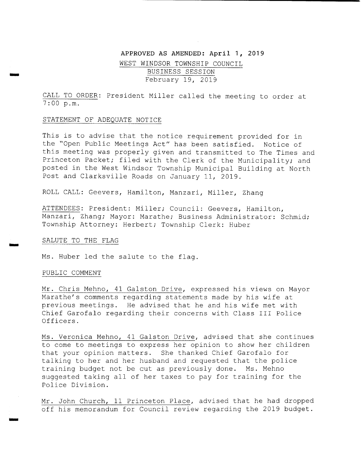### APPROVED AS AMENDED: April 1, 2019 WEST WINDSOR TOWNSHIP COUNCIL BUSINESS SESSION February 19, 2019

CALL TO ORDER: President Miller called the meeting to order at 7 : 00 p. m.

### STATEMENT OF ADEQUATE NOTICE

This is to advise that the notice requirement provided for in the "Open Public Meetings Act" has been satisfied. Notice of this meeting was properly given and transmitted to The Times and Princeton Packet; filed with the Clerk of the Municipality; and posted in the West Windsor Township Municipal Building at North Post and Clarksville Roads on January 11, 2019 .

ROLL CALL: Geevers, Hamilton, Manzari, Miller, Zhang

ATTENDEES: President: Miller; Council: Geevers, Hamilton, Manzari, Zhang; Mayor: Marathe; Business Administrator: Schmid; Township Attorney: Herbert; Township Clerk: Huber

### SALUTE TO THE FLAG

Ms. Huber led the salute to the flag.

#### PUBLIC COMMENT

IMO

Mr. Chris Mehno, <sup>41</sup> Galston Drive, expressed his views on Mayor Marathe's comments regarding statements made by his wife at previous meetings. He advised that he and his wife met with Chief Garofalo regarding their concerns with Class III Police Officers .

Ms. Veronica Mehno, 41 Galston Drive, advised that she continues to come to meetings to express her opinion to show her children that your opinion matters. She thanked Chief Garofalo for talking to her and her husband and requested that the police training budget not be cut as previously done. Ms. Mehno suggested taking all of her taxes to pay for training for the Police Division.

Mr. John Church, <sup>11</sup> Princeton Place, advised that he had dropped off his memorandum for Council review regarding the <sup>2019</sup> budget .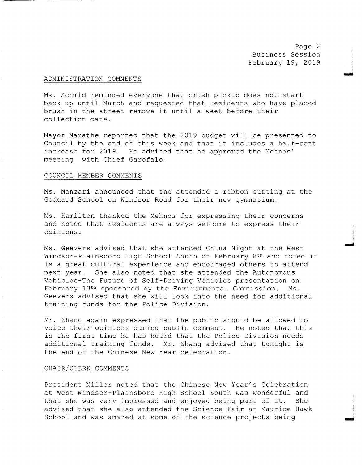Page 2 Business Session February 19, 2019

word

#### ADMINISTRATION COMMENTS

Ms . Schmid reminded everyone that brush pickup does not start back up until March and requested that residents who have placed brush in the street remove it until <sup>a</sup> week before their collection date .

Mayor Marathe reported that the <sup>2019</sup> budget will be presented to Council by the end of this week and that it includes a half-cent increase for 2019. He advised that he approved the Mehnos' meeting with Chief Garofalo.

#### COUNCIL MEMBER COMMENTS

Ms. Manzari announced that she attended a ribbon cutting at the Goddard School on Windsor Road for their new gymnasium.

Ms. Hamilton thanked the Mehnos for expressing their concerns and noted that residents are always welcome to express their opinions .

Ms . Geevers advised that she attended China Night at the West Windsor-Plainsboro High School South on February 8<sup>th</sup> and noted it is <sup>a</sup> great cultural experience and encouraged others to attend next year. She also noted that she attended the Autonomous Vehicles-The Future of Self-Driving Vehicles presentation on February 13th sponsored by the Environmental Commission. Ms . Geevers advised that she will look into the need for additional training funds for the Police Division.

Mr. Zhang again expressed that the public should be allowed to voice their opinions during public comment. He noted that this is the first time he has heard that the Police Division needs additional training funds. Mr. Zhang advised that tonight is the end of the Chinese New Year celebration.

#### CHAIR/ CLERK COMMENTS

President Miller noted that the Chinese New Year's Celebration at West Windsor-Plainsboro High School South was wonderful and that she was very impressed and enjoyed being part of it. She advised that she also attended the Science Fair at Maurice Hawk School and was amazed at some of the science projects being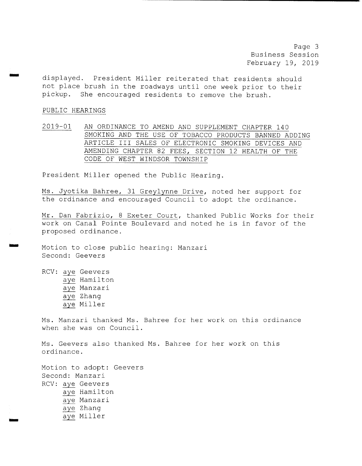Page <sup>3</sup> Business Session February 19, 2019

displayed. President Miller reiterated that residents should not place brush in the roadways until one week prior to their pickup. She encouraged residents to remove the brush.

### PUBLIC HEARINGS

dam

2019-01 AN ORDINANCE TO AMEND AND SUPPLEMENT CHAPTER 140 SMOKING AND THE USE OF TOBACCO PRODUCTS BANNED ADDING ARTICLE III SALES OF ELECTRONIC SMOKING DEVICES AND AMENDING CHAPTER 82 FEES, SECTION 12 HEALTH OF THE CODE OF WEST WINDSOR TOWNSHIP

President Miller opened the Public Hearing.

Ms. Jyotika Bahree, 31 Greylynne Drive, noted her support for the ordinance and encouraged Council to adopt the ordinance .

Mr. Dan Fabrizio, <sup>8</sup> Exeter Court, thanked Public Works for their work on Canal Pointe Boulevard and noted he is in favor of the proposed ordinance.

Motion to close public hearing: Manzari Second: Geevers

RCV: aye Geevers aye Hamilton aye Manzari aye Zhang aye Miller

Ms. Manzari thanked Ms. Bahree for her work on this ordinance when she was on Council.

Ms. Geevers also thanked Ms. Bahree for her work on this ordinance .

Motion to adopt: Geevers Second: Manzari RCV: aye Geevers aye Hamilton aye Manzari aye Zhang aye Miller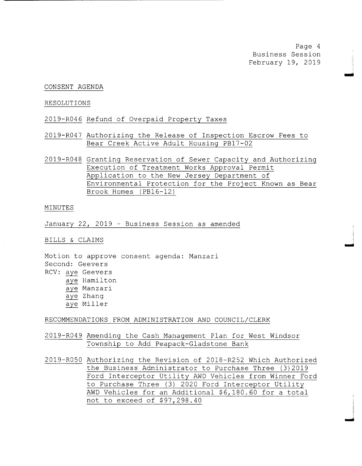Page <sup>4</sup> Business Session February 19, 2019

now

CONSENT AGENDA

#### RESOLUTIONS

2019- R046 Refund of Overpaid Property Taxes

- 2019- R047 Authorizing the Release of Inspection Escrow Fees to Bear Creek Active Adult Housing PB17-02
- 2019- R048 Granting Reservation of Sewer Capacity and Authorizing Execution of Treatment Works Approval Permit Application to the New Jersey Department of Environmental Protection for the Project Known as Bear Brook Homes (PB16-12)

#### MINUTES

January 22, 2019 - Business Session as amended

BILLS & CLAIMS

Motion to approve consent agenda: Manzari Second: Geevers RCV: aye Geevers aye Hamilton aye Manzari aye Zhang aye Miller

### RECOMMENDATIONS FROM ADMINISTRATION AND COUNCIL/CLERK

2019- R049 Amending the Cash Management Plan for West Windsor Township to Add Peapack-Gladstone Bank

2019- R050 Authorizing the Revision of 2018- R252 Which Authorized the Business Administrator to Purchase Three ( 3) 2019 Ford Interceptor Utility AWD Vehicles from Winner Ford to Purchase Three (3) 2020 Ford Interceptor Utility AWD Vehicles for an Additional \$6,180.60 for a total not to exceed of \$97, 298 . 40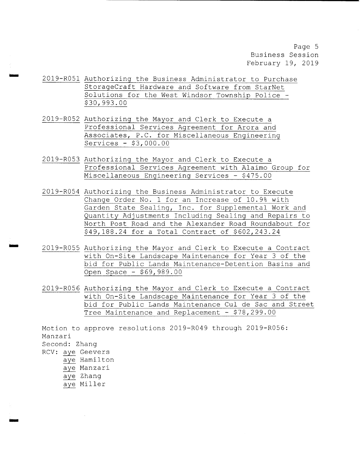Page 5 Business Session February 19, 2019

2019- R051 Authorizing the Business Administrator to Purchase StorageCraft Hardware and Software from StarNet Solutions for the West Windsor Township Police - 30, 993 . 00

ar..

i""'

rrr.

- 2019- R052 Authorizing the Mayor and Clerk to Execute <sup>a</sup> Professional Services Agreement for Arora and Associates, P.C. for Miscellaneous Engineering Services - \$3,000.00
- 2019- R053 Authorizing the Mayor and Clerk to Execute <sup>a</sup> Professional Services Agreement with Alaimo Group for Miscellaneous Engineering Services - \$475.00
- 2019- R054 Authorizing the Business Administrator to Execute Change Order No. <sup>1</sup> for an Increase of 10 . 9% with Garden State Sealing, Inc. for Supplemental Work and Quantity Adjustments Including Sealing and Repairs to North Post Road and the Alexander Road Roundabout for 49, 188 . 24 for <sup>a</sup> Total Contract of \$602, 243 . 24
- 2019- R055 Authorizing the Mayor and Clerk to Execute <sup>a</sup> Contract with On-Site Landscape Maintenance for Year 3 of the bid for Public Lands Maintenance- Detention Basins and Open Space - \$ 69, 989 . 00
- 2019- R056 Authorizing the Mayor and Clerk to Execute <sup>a</sup> Contract with On-Site Landscape Maintenance for Year 3 of the bid for Public Lands Maintenance Cul de Sac and Street Tree Maintenance and Replacement - \$78,299.00

Motion to approve resolutions 2019-R049 through 2019-R056: Manzari Second: Zhang RCV: aye Geevers aye Hamilton aye Manzari aye Zhang aye Miller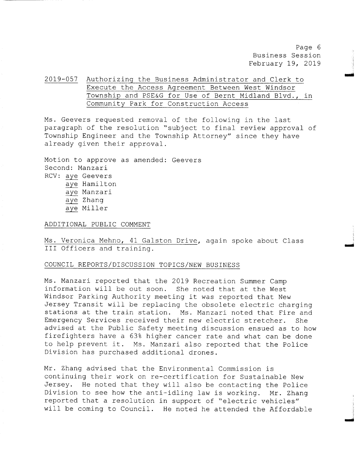Page 6 Business Session February 19, 2019

rigid

mold

2019- 057 Authorizing the Business Administrator and Clerk to Execute the Access Agreement Between West Windsor Township and PSE&G for Use of Bernt Midland Blvd., in Community Park for Construction Access

Ms. Geevers requested removal of the following in the last paragraph of the resolution "subject to final review approval of Township Engineer and the Township Attorney" since they have already given their approval .

Motion to approve as amended: Geevers Second: Manzari RCV: aye Geevers aye Hamilton aye Manzari aye Zhang aye Miller

ADDITIONAL PUBLIC COMMENT

Ms. Veronica Mehno, 41 Galston Drive, again spoke about Class III Officers and training.

#### COUNCIL REPORTS/DISCUSSION TOPICS/NEW BUSINESS

Ms . Manzari reported that the 2019 Recreation Summer Camp information will be out soon. She noted that at the West Windsor Parking Authority meeting it was reported that New Jersey Transit will be replacing the obsolete electric charging stations at the train station. Ms. Manzari noted that Fire and Emergency Services received their new electric stretcher. She advised at the Public Safety meeting discussion ensued as to how firefighters have <sup>a</sup> 63% higher cancer rate and what can be done to help prevent it. Ms. Manzari also reported that the Police Division has purchased additional drones .

Mr. Zhang advised that the Environmental Commission is continuing their work on re-certification for Sustainable New Jersey. He noted that they will also be contacting the Police<br>Division to see how the anti-idling law is working. Mr. Zhang Division to see how the anti-idling law is working. reported that a resolution in support of "electric vehicles" will be coming to Council. He noted he attended the Affordable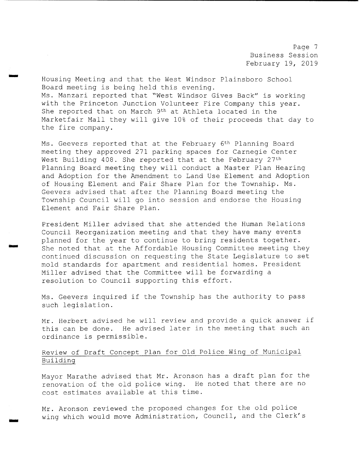Page 7 Business Session February 19, 2019

Housing Meeting and that the West Windsor Plainsboro School Board meeting is being held this evening. Ms. Manzari reported that "West Windsor Gives Back" is working with the Princeton Junction Volunteer Fire Company this year. She reported that on March 9th at Athleta located in the Marketfair Mall they will give 10% of their proceeds that day to the fire company.

on"

Ms. Geevers reported that at the February 6<sup>th</sup> Planning Board meeting they approved 271 parking spaces for Carnegie Center West Building 408. She reported that at the February 27th Planning Board meeting they will conduct <sup>a</sup> Master Plan Hearing and Adoption for the Amendment to Land Use Element and Adoption of Housing Element and Fair Share Plan for the Township. Ms . Geevers advised that after the Planning Board meeting the Township Council will go into session and endorse the Housing Element and Fair Share Plan.

President Miller advised that she attended the Human Relations Council Reorganization meeting and that they have many events planned for the year to continue to bring residents together. She noted that at the Affordable Housing Committee meeting they continued discussion on requesting the State Legislature to set mold standards for apartment and residential homes. President Miller advised that the Committee will be forwarding <sup>a</sup> resolution to Council supporting this effort .

Ms. Geevers inquired if the Township has the authority to pass such legislation.

Mr. Herbert advised he will review and provide <sup>a</sup> quick answer if this can be done. He advised later in the meeting that such an ordinance is permissible .

### Review of Draft Concept Plan for Old Police Wing of Municipal Building

Mayor Marathe advised that Mr. Aronson has <sup>a</sup> draft plan for the renovation of the old police wing. He noted that there are no cost estimates available at this time.

Mr. Aronson reviewed the proposed changes for the old police wing which would move Administration, Council, and the Clerk' <sup>s</sup>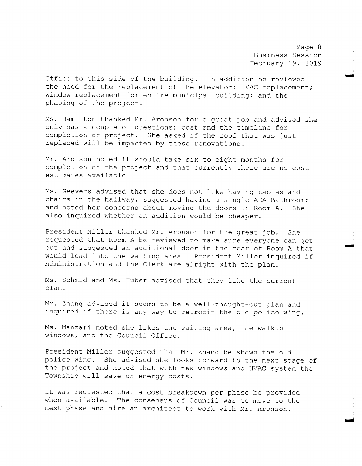Page <sup>8</sup> Business Session February 19, 2019

mow

Office to this side of the building. In addition he reviewed the need for the replacement of the elevator; HVAC replacement; window replacement for entire municipal building; and the phasing of the project .

Ms. Hamilton thanked Mr. Aronson for a great job and advised she only has a couple of questions: cost and the timeline for completion of project. She asked if the roof that was just replaced will be impacted by these renovations .

Mr. Aronson noted it should take six to eight months for completion of the project and that currently there are no cost estimates available .

Ms . Geevers advised that she does not like having tables and chairs in the hallway; suggested having <sup>a</sup> single ADA Bathroom; and noted her concerns about moving the doors in Room A. She also inquired whether an addition would be cheaper.

President Miller thanked Mr. Aronson for the great job. She requested that Room <sup>A</sup> be reviewed to make sure everyone can get out and suggested an additional door in the rear of Room <sup>A</sup> that would lead into the waiting area. President Miller inquired if Administration and the Clerk are alright with the plan.

Ms. Schmid and Ms. Huber advised that they like the current plan.

Mr. Zhang advised it seems to be a well-thought-out plan and inquired if there is any way to retrofit the old police wing.

Ms. Manzari noted she likes the waiting area, the walkup windows, and the Council Office.

President Miller suggested that Mr. Zhang be shown the old police wing. She advised she looks forward to the next stage of the project and noted that with new windows and HVAC system the Township will save on energy costs .

It was requested that <sup>a</sup> cost breakdown per phase be provided when available. The consensus of Council was to move to the next phase and hire an architect to work with Mr. Aronson.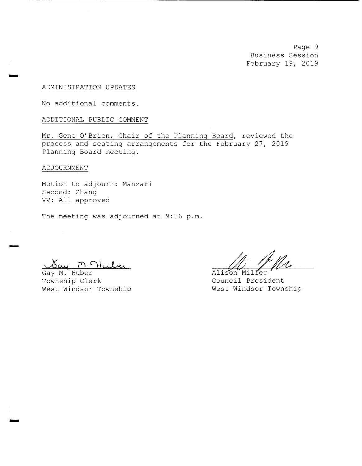Page 9 Business Session February 19, 2019

#### ADMINISTRATION UPDATES

No additional comments .

ADDITIONAL PUBLIC COMMENT

Mr. Gene O' Brien, Chair of the Planning Board, reviewed the process and seating arrangements for the February 27, 2019 Planning Board meeting.

ADJOURNMENT

SIM

mow

Motion to adjourn: Manzari Second: Zhang VV: All approved

The meeting was adjourned at 9:16 p.m.

 $\frac{1}{\text{Gay M. Huber}}$  Alison Mil

Township Clerk<br>
West Windsor Township<br>
West Windsor Township<br>
West Windsor Township West Windsor Township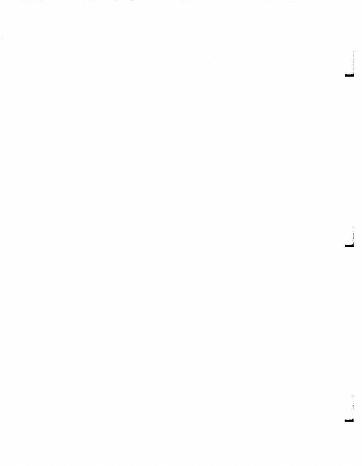rn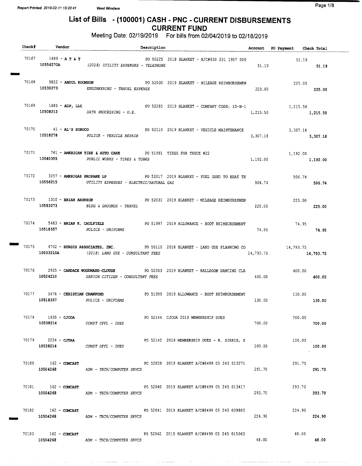IMMO

WWI

...

MM

# List of Bills - (100001) CASH - PNC - CURRENT DISBURSEMENTS CURRENT FUND

Meeting Date: 02/19/2019 For bills from 02/04/2019 to 02/18/2019

| Check# Vendor                                      | Description                                                                                                 |                                                                                             |           | Account PO Payment Check Total         |        |
|----------------------------------------------------|-------------------------------------------------------------------------------------------------------------|---------------------------------------------------------------------------------------------|-----------|----------------------------------------|--------|
| 70167 1689 – <b>A T &amp; T</b>                    | 10556270A (2018) UTILITY EXPENSES - TELEPHONE                                                               | PO 50225 2018 BLANKET - A/C#030 331 1957 000                                                | 51.19     | 51.19<br>51.19                         |        |
| 70168 5822 - ABDUL KOOMSON                         | 10530273 ENGINEERING - TRAVEL EXPENSE                                                                       | PO 52030 2019 BLANKET - MILEAGE REIMBURSEMEN                                                | 225.00    | 225.00<br>225.00                       |        |
|                                                    | 10508212 DATA PROCESSING - O.E.                                                                             | 70169 1685 - ADP, LLC 215.50                                                                |           | 1, 215.50 1, 215.50                    |        |
|                                                    | 10518278 POLICE - VEHICLE REPAIR                                                                            | 70170 41 - AL'S SUNOCO 2019 PO 52119 2019 BLANKET - VEHICLE MAINTENANCE                     | 3,307.18  | $3,307.18$<br>$3,307.18$               |        |
|                                                    | 70171 761 - AMERICAN TIRE & AUTO CARE PO 51991 TIRES FOR TRUCK #22<br>10540355 PUBLIC WORKS - TIRES & TUBES |                                                                                             |           | $1,192.00$<br>$1,192.00$<br>$1,192.00$ |        |
|                                                    | 10556215 UTILITY EXPENSES - ELECTRIC/NATURAL GAS                                                            | 70172 3257 - AMERIGAS PROPANE LP PO 52017 2019 BLANKET - FUEL USED TO HEAT TH               | 506.74    | 506.74<br>506.74                       |        |
|                                                    | 10553273 BLDG & GROUNDS - TRAVEL                                                                            | 70173 1310 - BRIAN ARONSON PO 52031 2019 BLANKET - MILEAGE REIMBURSEMEN                     | 225.00    | 225.00<br>225.00                       |        |
| 10518357 POLICE - UNIFORMS                         |                                                                                                             | 70174 5463 - BRIAN K. CAULFIELD PO 51997 2019 ALLOWANCE - BOOT REIMBURSEMENT                | 74.95     | 74.95<br>74.95                         |        |
|                                                    | 10533210A (2018) LAND USE - CONSULTANT FEES                                                                 | 70175 4702 - BURGIS ASSOCIATES, INC. PO 50110 2018 BLANKET - LAND USE PLANNING CO 14,793.75 | 14,793.75 | 14,793,75                              |        |
|                                                    | 10524210 SENIOR CITIZEN - CONSULTANT FEES                                                                   | 70176 2925 - CANDACE WOODWARD-CLOUGH PO 52059 2019 BLANKET - BALLROOM DANCING CLA           | 400.00    | 400.00<br>400.00                       |        |
| 10518357 POLICE - UNIFORMS                         |                                                                                                             | 70177 5476 - CHRISTIAN CRAWFORD PO 51999 2019 ALLOWANCE - BOOT REIMBURSEMENT                |           | 130.00<br>130.00 130.00                |        |
| 70178 1935 - CJCOA<br>10538214 CONST OFFL - DUES   |                                                                                                             | PO 52144 CJCOA 2019 MEMBERSHIP DUES                                                         | 700.00    | 700.00                                 | 700.00 |
| 70179 2224 - CJTAA<br>$10538214$ CONST OFFL - DUES |                                                                                                             | PO 52142 2019 MEMBERSHIP DUES - B. SIRKIS, S                                                | 100.00    | 100.00                                 | 100.00 |
| 70180 162 - COMCAST                                | 10504268 ADM - TECH/COMPUTER SRVCS                                                                          | PO 52039 2019 BLANKET A/C#8499 05 245 013271                                                | 291.70    | 291.70                                 | 291.70 |
| 70181 162 - COMCAST                                | 10504268 ADM - TECH/COMPUTER SRVCS                                                                          | PO 52040 2019 BLANKET A/C#8499 05 245 013417                                                | 293.70    | 293.70                                 | 293.70 |
| 70182 162 - COMCAST                                | 10504268 ADM - TECH/COMPUTER SRVCS                                                                          | PO 52041 2019 BLANKET A/C#8499 05 245 009805                                                | 224.90    | 224.90                                 | 224.90 |
| 70183 162 - COMCAST                                | 10504268 ADM - TECH/COMPUTER SRVCS                                                                          | PO 52042 2019 BLANKET A/C#8499 05 245 015063                                                | 48.00     | 48.00                                  | 48,00  |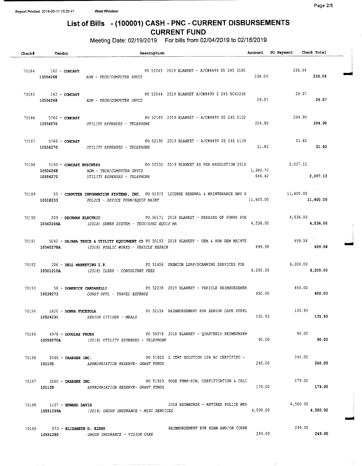Meeting Date: 02/19/2019 For bills from 02/04/2019 to 02/18/2019

| Check# Vendor                  | Description                                                                                          |           | Account PO Payment | Check Total      |  |
|--------------------------------|------------------------------------------------------------------------------------------------------|-----------|--------------------|------------------|--|
|                                |                                                                                                      |           |                    |                  |  |
| 70184 162 - COMCAST            | PO 52043 2019 BLANKET - A/C#8499 05 245 0180                                                         |           |                    | 236.04           |  |
|                                | 10504268 ADM - TECH/COMPUTER SRVCS                                                                   | 236.04    |                    | 236.04           |  |
|                                |                                                                                                      |           |                    |                  |  |
|                                |                                                                                                      |           |                    |                  |  |
|                                | 70185 162 - COMCAST COMPOSITE COMPOSITE PO 52044 2019 BLANKET A/C#8499 5 245 0042258                 |           |                    | 29.57            |  |
|                                | 10504268 ADM - TECH/COMPUTER SRVCS                                                                   | 29,57     |                    | 29.57            |  |
|                                |                                                                                                      |           |                    |                  |  |
| 70186 5760 - COMCAST           | PO 52189 2019 BLANKET - A/C#8499 05 245 0102                                                         |           |                    | 204.90           |  |
|                                | 10556270 UTILITY EXPENSES - TELEPHONE                                                                | 204.90    |                    | 204.90           |  |
|                                |                                                                                                      |           |                    |                  |  |
|                                |                                                                                                      |           |                    |                  |  |
|                                | PO 52190 2019 BLANKET - A/C#8499 05 245 0139<br>70187 5760 - COMCAST                                 |           | 21.82              | 21.82            |  |
|                                | 10556270 UTILITY EXPENSES - TELEPHONE                                                                | 21.82     |                    |                  |  |
|                                |                                                                                                      |           |                    |                  |  |
|                                | 70188 5190 - COMCAST BUSINESS <b>PO 52255 2019 BLANKET AS PER RESOLUTION 2016</b> 2,007.12           |           |                    |                  |  |
|                                | 10504268 ADM - TECH/COMPUTER SRVCS                                                                   | 1,360.70  |                    |                  |  |
|                                | 10556270 UTILITY EXPENSES - TELEPHONE                                                                | 646.42    |                    | 2,007.12         |  |
|                                |                                                                                                      |           |                    |                  |  |
|                                | 70189 55 - COMPUTER INFORMATION SYSTEMS, INC. PO 51973 LICENSE RENEWAL & MAINTENANCE AND S 11,600.00 |           |                    |                  |  |
|                                |                                                                                                      | 11,600.00 |                    | 11,600.00        |  |
|                                | 10518233 POLICE - OFFICE FURN/EQUIP MAINT                                                            |           |                    | <b>Contract</b>  |  |
|                                |                                                                                                      |           |                    |                  |  |
|                                | 70190   209 - DECKMAN ELECTRIC   PO 50171   2018 BLANKET - REPAIRS OF PUMPS FOR   4,536.00           |           |                    |                  |  |
|                                | 10542266A (2018) SEWER SYSTEM - TECH/SPEC EQUIP MA                                                   | 4,536.00  |                    | 4,536.00         |  |
|                                |                                                                                                      |           |                    |                  |  |
|                                | 70191 5042 - DEJANA TRUCK & UTILITY EQUIPMENT CO PO 50193 2018 BLANKET - OEM & NON OEM MAINTE        |           | 699.58             |                  |  |
|                                | 10540278A (2018) PUBLIC WORKS - VEHICLE REPAIR                                                       | 699.58    |                    | 699.58           |  |
|                                |                                                                                                      |           |                    |                  |  |
|                                |                                                                                                      |           |                    |                  |  |
|                                | 70192 206 - DELL MARKETING L.P. 20051456 PREMIUM LSAP/SCANNING SERVICES FOR                          |           | 6,200.00           |                  |  |
|                                | 10501210A (2018) CLERK - CONSULTANT FEES                                                             | 6, 200.00 |                    | 6,200.00         |  |
|                                |                                                                                                      |           |                    |                  |  |
| 70193 58 - DOMENICK CARDARELLI | PO 52238 2019 BLANKET - VEHICLE REIMBURSEMEN                                                         |           |                    | 450.00           |  |
|                                | 10538273 CONST OFFL - TRAVEL EXPENSE                                                                 | 450.00    |                    | 450.00           |  |
|                                |                                                                                                      |           |                    |                  |  |
|                                |                                                                                                      |           |                    |                  |  |
| 70194 1820 - DONNA FUCETOLA    | PO 52154 REIMBURSEMENT FOR SENIOR CAFE SUPPL                                                         |           | 135.93             |                  |  |
|                                | 10524231 SENIOR CITIZEN - MEALS                                                                      | 135.93    |                    | 135.93           |  |
|                                |                                                                                                      |           |                    |                  |  |
| 70195 4978 - DOUGLAS FRUEH     | PO 50078 2018 BLANKET - QUARTERLY REIMBURSEM                                                         |           |                    | 90.00            |  |
|                                | 10556270A (2018) UTILITY EXPENSES - TELEPHONE                                                        | 90.00     |                    | 90.00            |  |
|                                |                                                                                                      |           |                    |                  |  |
|                                |                                                                                                      |           |                    |                  |  |
| 70196 2060 - DRAEGER INC.      | PO 51803 L CERT SOLUTION 10% NJ CERTIFIED -                                                          | 240.00    |                    | 240.00<br>240.00 |  |
| 101105                         | APPROPRIATION RESERVE- GRANT FUNDS                                                                   |           |                    |                  |  |
|                                |                                                                                                      |           |                    |                  |  |
| 70197 2060 - DRAEGER INC.      | PO 51920 HOSE PUMP-SIM, CERTIFICATION & CALI                                                         |           |                    | 179.00           |  |
|                                | 101105 APPROPRIATION RESERVE- GRANT FUNDS                                                            | 179.00    |                    | 179.00           |  |
|                                |                                                                                                      |           |                    |                  |  |
|                                | 2018 REIMBURSE - RETIRED POLICE MED                                                                  |           |                    | 4,500.00         |  |
| 70198 1107 - EDWARD DAVIS      | 10551299A (2018) GROUP INSURANCE - MISC SERVICES                                                     | 4,500.00  |                    | 4,500.00         |  |
|                                |                                                                                                      |           |                    |                  |  |
|                                |                                                                                                      |           |                    |                  |  |
| 70199 573 - ELIZABETH D. KIRBY | REIMBURSEMENT EYE EXAM AND/OR CORRE                                                                  |           |                    | 249.00           |  |
|                                | 10551280 GROUP INSURANCE - VISION CARE                                                               | 249.00    |                    | 249.00           |  |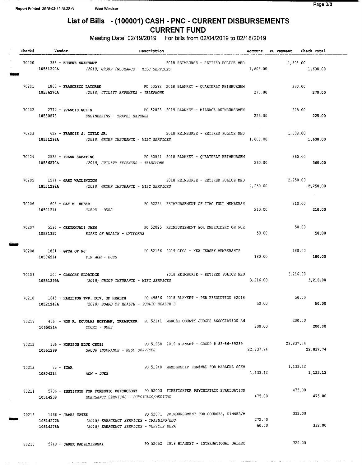Meeting Date: 02/19/2019 For bills from 02/04/2019 to 02/18/2019

|       | $Check$ # Vendor                                     |                                                                                      | Description |                                                                                             |                 | Account PO Payment Check Total |          |
|-------|------------------------------------------------------|--------------------------------------------------------------------------------------|-------------|---------------------------------------------------------------------------------------------|-----------------|--------------------------------|----------|
| 70200 | 386 - EUGENE SWANHART                                | 10551299A (2018) GROUP INSURANCE - MISC SERVICES                                     |             | 2018 REIMBURSE - RETIRED POLICE MED                                                         | 1,608.00        | 1,608.00<br>1,608,00           |          |
|       | 70201 1868 - FRANCESCO LATORRE                       | 10556270A (2018) UTILITY EXPENSES - TELEPHONE                                        |             | PO 50592 2018 BLANKET - QUARTERLY REIMBURSEM                                                | 270.00          | 270.00<br>270.00               |          |
|       |                                                      | 10530273 ENGINEERING - TRAVEL EXPENSE                                                |             | 70202 2774 - FRANCIS GUZIK COM CONTROL 2019 BLANKET - MILEAGE REIMBURSEMEN                  | 225.00          | 225.00<br>225.00               |          |
|       |                                                      | 10551299A (2018) GROUP INSURANCE - MISC SERVICES                                     |             | 70203 622 - FRANCIS J. COYLE JR. 2018 REIMBURSE - RETIRED POLICE MED                        | 1,608.00        | 1,608.00                       | 1,608.00 |
|       |                                                      | 10556270A $(2018)$ UTILITY EXPENSES - TELEPHONE                                      |             | 70204 2535 - FRANK SABATINO 6 2010 10 2018 BLANKET - QUARTERLY REIMBURSEM                   | 360.00          | 360.00<br>360.00               |          |
|       | 70205 1574 - GARY WATLINGTON                         | 10551299A (2018) GROUP INSURANCE - MISC SERVICES                                     |             | 2018 REIMBURSE - RETIRED POLICE MED                                                         | 2,250.00        | 2,250.00                       | 2,250.00 |
|       | 10501214 CLERK - DUES                                | 70206 606 - GAY M. HUBER                                                             |             | PO 52224 REIMBURSEMENT OF IIMC FULL MEMBERSH                                                | 210.00          | 210,00<br>210.00               |          |
|       |                                                      | 10521357 BOARD OF HEALTH - UNIFORMS                                                  |             | 70207 5596 - GEETANJALI JAIN 67 2025 REIMBURSEMENT FOR EMBROIDERY ON NUR                    | 50.00           | 50.00                          | 50.00    |
|       | 10506214 FIN ADM - DUES                              | 70208 1821 - GFOA OF NJ                                                              |             | PO 52156 2019 GFOA - NEW JERSEY MEMBERSHIP<br>180.00                                        |                 | 180.00                         | 180.00   |
|       | 70209 500 - GREGORY ELDRIDGE                         | 10551299A (2018) GROUP INSURANCE - MISC SERVICES                                     |             | 2018 REIMBURSE - RETIRED POLICE MED                                                         | 3,216.00        | 3,216.00<br>3,216.00           |          |
|       |                                                      | 10521248A (2018) BOARD OF HEALTH - PUBLIC HEALTH S                                   |             | 70210 1645 - HAMILTON TWP. DIV. OF HEALTH PO 49886 2018 BLANKET - PER RESOLUTION #2018      | 50.00           | 50.00                          | 50.00    |
|       | 10650214                                             | <i>COURT - DUES</i>                                                                  |             | 70211 4667 - HON R. DOUGLAS HOFFMAN, TREASURER PO 52141 MERCER COUNTY JUDGES ASSOCIATION AN | 200.00          | 200.00                         | 200.00   |
|       | 70212 136 - HORIZON BLUE CROSS                       | 10551299 GROUP INSURANCE - MISC SERVICES                                             |             | PO 51938 2019 BLANKET - GROUP # 85-86-89289                                                 | 22,837.74       | 22,837.74<br>22,837.74         |          |
|       | $70213$ $73 - \text{ICMA}$<br>10504214 ADM - DUES    |                                                                                      |             | PO 51948 MEMBERSHIP RENEWAL FOR MARLENA SCHM                                                | 1,133.12        | 1,133.12                       | 1,133.12 |
|       |                                                      | 10514238 EMERGENCY SERVICES - PHYSICALS/MEDICAL                                      |             | 70214 5706 - INSTITUTE FOR FORENSIC PSYCHOLOGY PO 52003 FIREFIGHTER PSYCHIATRIC EVAULUATION | 475.00          | 475.00                         | 475.00   |
|       | $70215$ 1166 - JAMES YATES<br>10514272A<br>10514278A | (2018) EMERGENCY SERVICES - TRAINING/EDU<br>(2018) EMERGENCY SERVICES - VEHICLE REPA |             | PO 52071 REIMBURSEMENT FOR COURSES, DINNER/M                                                | 272.00<br>60.00 | 332.00                         | 332.00   |
|       | 70216 5749 - JAREK RADZIMIERSKI                      |                                                                                      |             | PO 52052 2019 BLANKET - INTERNATIONAL BALLRO                                                |                 | 320.00                         |          |

**Section** 

a na s

 $\sim$   $\sim$   $\sim$   $\sim$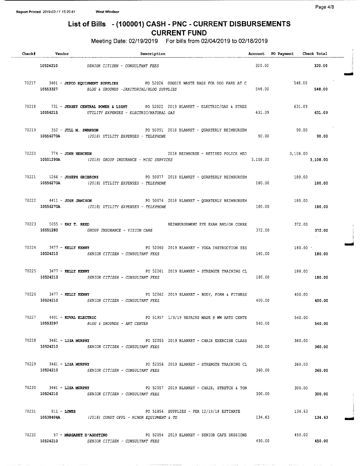Meeting Date: 02/19/2019 For bills from 02/04/2019 to 02/18/2019

| Check# Vendor                             | Description                                                                                                                                               |          | Account PO Payment Check Total |                      |
|-------------------------------------------|-----------------------------------------------------------------------------------------------------------------------------------------------------------|----------|--------------------------------|----------------------|
|                                           | 10524210 SENIOR CITIZEN - CONSULTANT FEES                                                                                                                 | 320.00   |                                | 320.00               |
| 10553327                                  | 70217 3401 - JEFCO EQUIPMENT SUPPLIES PO 52026 DOGGIE WASTE BAGS FOR DOG PARK AT C<br>BLDG & GROUNDS -JANITORIAL/BLDG SUPPLIES                            | 548.00   | 548.00                         | $\sim 100$<br>548.00 |
| 10556215                                  | 70218 731 - JERSEY CENTRAL POWER & LIGHT PO 52022 2019 BLANKET - ELECTRIC/GAS & STREE<br>UTILITY EXPENSES - ELECTRIC/NATURAL GAS                          | 631.09   | 631.09                         | 631.09               |
|                                           | 70219 352 - JILL M. SWANSON 88 PO 50091 2018 BLANKET - QUARTERLY REIMBURSEM<br>10556270A (2018) UTILITY EXPENSES - TELEPHONE                              | 90.00    | 90.00                          | 90.00                |
| 70220 774 - JOHN HENCKEN                  | 2018 REIMBURSE - RETIRED POLICE MED<br>10551299A (2018) GROUP INSURANCE - MISC SERVICES                                                                   | 3,108.00 | 3,108.00<br>3,108.00           |                      |
|                                           | 70221 1266 - JOSEPH GRIBBINS 60010 PO 50077 2018 BLANKET - QUARTERLY REIMBURSEM<br>10556270A (2018) UTILITY EXPENSES - TELEPHONE                          | 180.00   | 180.00                         | 180.00               |
|                                           | 10556270A (2018) UTILITY EXPENSES - TELEPHONE                                                                                                             | 180.00   | 180.00                         | 180.00               |
| 70223 1055 - KAY T. REED                  | REIMBURSEMENT EYE EXAM AND/OR CORRE<br>10551280 GROUP INSURANCE - VISION CARE                                                                             | 372.00   | 372.00                         | 372.00               |
|                                           | 70224 3477 - KELLY KENNY <b>EXAMPLE 1998</b> PO 52060 2019 BLANKET - YOGA INSTRUCTION SES<br>10524210 SENIOR CITIZEN - CONSULTANT FEES                    | 180.00   | 180.00                         | 180.00               |
|                                           | 70225 3477 - KELLY KENNY TARRES 1998 COMPOSITY OF REAL POST AND POSSIBLE 2019 BLANKET - STRENGTH TRAINING CL<br>10524210 SENIOR CITIZEN - CONSULTANT FEES | 180.00   | 180.00                         | 180.00               |
| 70226 3477 - KELLY KENNY                  | PO 52062 2019 BLANKET - BODY, FORM & FITNESS<br>10524210 SENIOR CITIZEN - CONSULTANT FEES                                                                 | 400.00   | 400.00                         | 400.00               |
| $70227$ 4401 - KOVAL ELECTRIC<br>10553297 | PO 51957 1/9/19 REPAIRS MADE @ WW ARTS CENTE<br>BLDG & GROUNDS - ART CENTER                                                                               | 540.00   | 540.00                         | 540.00               |
| 70228 3461 - LISA MURPHY                  | PO 52055 2019 BLANKET - CHAIR EXERCISE CLASS<br>10524210 SENIOR CITIZEN - CONSULTANT FEES                                                                 | 360.00   | 360.00                         | 360.00               |
| 70229 3461 - LISA MURPHY                  | PO 52056 2019 BLANKET - STRENGTH TRAINING CL<br>10524210 SENIOR CITIZEN - CONSULTANT FEES                                                                 | 360.00   | 360.00                         | 360.00               |
| 70230 3461 - LISA MURPHY                  | PO 52057 2019 BLANKET - CHAIR, STRETCH & TON<br>10524210 SENIOR CITIZEN - CONSULTANT FEES                                                                 | 300.00   | 300.00                         | 300.00               |
| $70231$ $911 - LOWES$                     | PO 51856 SUPPLIES - PER 12/19/18 ESTIMATE<br>10538404A (2018) CONST OFFL - MINOR EQUIPMENT & TO                                                           | 134.63   | 134.63                         | 134.63               |
| 10524210                                  | 70232 57 - MARGARET D'AGOSTINO 60 PO 52054 2019 BLANKET - SENIOR CAFE SESSIONS<br>SENIOR CITIZEN - CONSULTANT FEES                                        | 450.00   | 450.00                         | 450.00               |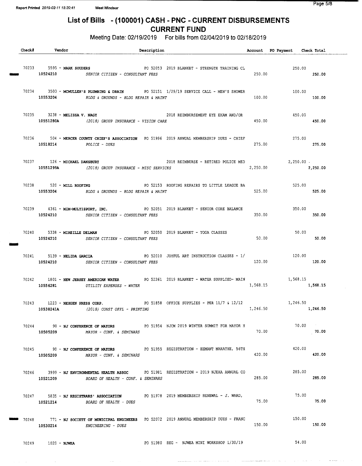## List of Bills - ( 100001) CASH - PNC - CURRENT DISBURSEMENTS CURRENT FUND

Meeting Date: 02/19/2019 For bills from 02/04/2019 to 02/18/2019

| Check# | <b>Vendor</b>                   |                                                  | Description |                                                                                              |          | Account PO Payment Check Total |                |
|--------|---------------------------------|--------------------------------------------------|-------------|----------------------------------------------------------------------------------------------|----------|--------------------------------|----------------|
|        |                                 | 10524210 SENIOR CITIZEN - CONSULTANT FEES        |             | 70233 5595 - MARK SOUDERS COMPUTER TO S2053 2019 BLANKET - STRENGTH TRAINING CL              | 250.00   | 250.00<br>250.00               |                |
|        |                                 | 10553204 BLDG & GROUNDS - BLDG REPAIR & MAINT    |             | 70234 3503 - MCMULLEN'S PLUMBING & DRAIN PO 52151 1/29/19 SERVICE CALL - MEN'S SHOWER        | 100.00   | 100.00<br>100.00               |                |
|        | 70235 3238 - MELISSA V. NAGY    | 10551280A (2018) GROUP INSURANCE - VISION CARE   |             | 2018 REIMBURSEMENT EYE EXAM AND/OR                                                           | 450.00   | 450.00<br>450.00               |                |
|        | $10518214$ $POLICE - DUES$      |                                                  |             | 70236 504 - MERCER COUNTY CHIEF'S ASSOCIATION PO 51996 2019 ANNUAL MEMBERSHIP DUES - CHIEF   | 275.00   | 275.00<br>275.00               |                |
|        | 70237 126 - MICHAEL DANSBURY    | 10551299A (2018) GROUP INSURANCE - MISC SERVICES |             | 2018 REIMBURSE - RETIRED POLICE MED                                                          | 2,250.00 | $2,250.00$ .                   | 2,250.00       |
|        | 70238 520 - MILL ROOFING        | 10553204 BLDG & GROUNDS - BLDG REPAIR & MAINT    |             | PO 52153 ROOFING REPAIRS TO LITTLE LEAGUE BA                                                 | 525.00   | 525.00<br>525.00               |                |
|        |                                 | 10524210 SENIOR CITIZEN - CONSULTANT FEES        |             | 70239 4361 - MIM-MULTISPORT, INC. 69 92051 2019 BLANKET - SENIOR CORE BALANCE                | 350.00   | 350.00                         | 350.00         |
|        | 70240 5338 - MIREILLE DELMAN    | 10524210 SENIOR CITIZEN - CONSULTANT FEES        |             | PO 52050 2019 BLANKET - YOGA CLASSES                                                         | 50.00    | 50.00                          | 50.00          |
|        |                                 | 10524210 SENIOR CITIZEN - CONSULTANT FEES        |             | 70241 5139 - NELIDA GARCIA <b>Example 2018</b> PO 52010 JOYFUL ART INSTRUCTION CLASSES - 1/  | 120.00   | 120.00<br>120.00               |                |
|        |                                 | 10556281 UTILITY EXPENSES - WATER                |             | 70242 1801 - NEW JERSEY AMERICAN WATER PO 52261 2019 BLANKET - WATER SUPPLIED- MAIN 1,568.15 | 1,568.15 | 1,568.15                       |                |
|        | 70243 1223 - NEXGEN PRESS CORP. | 10538241A (2018) CONST OFFL - PRINTING           |             | PO 51858 OFFICE SUPPLIES - PER 11/7 & 12/12 1.246.50                                         |          | 1,246.50 1,246.50              |                |
|        |                                 | 10505209 MAYOR - CONF. & SEMINARS                |             | 70244 90 - NJ CONFERENCE OF MAYORS PO 51954 NJCM 2019 WINTER SUMMIT FOR MAYOR H              | 70.00    |                                | 70.00<br>70.00 |
|        |                                 | 10505209 MAYOR - CONF. & SEMINARS                |             | 70245 90 - NJ CONFERENCE OF MAYORS PO 51955 REGISTRATION - HEMANT MARATHE, 56TH              | 420.00   | 420.00                         | 420.00         |
|        |                                 | 10521209 BOARD OF HEALTH - CONF. & SEMINARS      |             | 70246 3999 - NJ ENVIRONMENTAL HEALTH ASSOC PO 51981 REGISTRATION - 2019 NJEHA ANNUAL CO      | 285.00   | 285.00                         | 285.00         |
|        |                                 | 10521214 BOARD OF HEALTH - DUES                  |             | 70247 5835 - NJ REGISTRARS' ASSOCIATION PO 51978 2019 MEMBERSHIP RENEWAL - J. WARD,          | 75.00    | 75.00                          | 75.00          |
|        | 10530214 ENGINEERING - DUES     |                                                  |             | 70248 771 - NJ SOCIETI OF MUNICIPAL ENGINEERS PO 52072 2019 ANNUAL MEMBERSHIP DUES - FRANC   | 150.00   | 150.00                         | 150.00         |
|        | 70249 1020 - NJWEA              |                                                  |             | PO 51980 REG - NJWEA MINI WORKSHOP 1/30/19                                                   |          | 54.00                          |                |

. The second contract dependence of the  $\mathcal{L}_\text{c}$  and  $\mathcal{L}_\text{c}$  and  $\mathcal{L}_\text{c}$ 

 $\begin{minipage}{0.9\linewidth} \begin{minipage}{0.9\linewidth} \begin{minipage}{0.9\linewidth} \begin{minipage}{0.9\linewidth} \end{minipage} \begin{minipage}{0.9\linewidth} \begin{minipage}{0.9\linewidth} \end{minipage} \begin{minipage}{0.9\linewidth} \end{minipage} \begin{minipage}{0.9\linewidth} \begin{minipage}{0.9\linewidth} \end{minipage} \begin{minipage}{0.9\linewidth} \end{minipage} \begin{minipage}{0.9\linewidth} \end{minipage} \begin{minipage}{0.9\linewidth} \end{minipage} \begin{minipage}{0.9\linewidth} \end$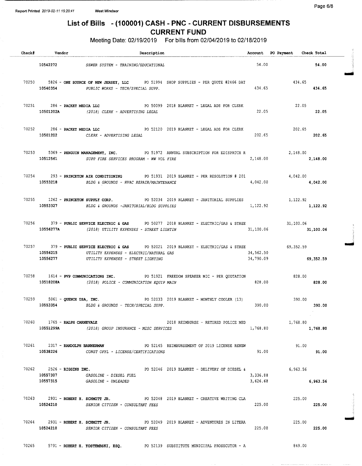Meeting Date: 02/19/2019 For bills from 02/04/2019 to 02/18/2019

| Check# Vendor                               | Description                                                                                                                                                             |                        | Account PO Payment Check Total |  |
|---------------------------------------------|-------------------------------------------------------------------------------------------------------------------------------------------------------------------------|------------------------|--------------------------------|--|
|                                             | 10542272 SEWER SYSTEM - TRAINING/EDUCATIONAL                                                                                                                            |                        | 54.00<br>54.00                 |  |
|                                             | 70250 5826 - ONE SOURCE OF NEW JERSEY, LLC PO 51994 SHOP SUPPLIES - PER QUOTE #2466 DAT<br>10540354 PUBLIC WORKS - TECH/SPECIAL SUPP.                                   | 434.65                 | $434.65$<br>$434.65$           |  |
|                                             | 70251 286 - PACKET MEDIA LLC 2009 2018 BLANKET - LEGAL ADS FOR CLERK<br>10501202A (2018) CLERK - ADVERTISING LEGAL                                                      | 22.05                  | 22.05<br>22.05                 |  |
|                                             | 70252 286 - PACKET MEDIA LLC 20120 2019 BLANKET - LEGAL ADS FOR CLERK<br>10501202 CLERK - ADVERTISING LEGAL                                                             | 202.65                 | 202.65<br>202.65               |  |
|                                             | 70253 5369 - PENGUIN MANAGEMENT, INC. PO 51972 ANNUAL SUBSCRIPTION FOR EDISPATCH R<br>10512561 SUPP FIRE SERVICES PROGRAM - WW VOL FIRE                                 | 2,148.00               | 2,148.00<br>2,148.00           |  |
|                                             | 70254 293 - PRINCETON AIR CONDITIONING PO 51931 2019 BLANKET - PER RESOLUTION # 201 4,042.00<br>10553218 BLDG & GROUNDS - HVAC REPAIR/MAINTENANCE                       |                        | 4,042.00 4,042.00              |  |
|                                             | 70255 1262 - PRINCETON SUPPLY CORP. PO 52034 2019 BLANKET - JANITORIAL SUPPLIES 1,122.92<br>10553327 BLDG & GROUNDS -JANITORIAL/BLDG SUPPLIES                           | 1,122.92               | 1,122.92                       |  |
|                                             | 70256 379 - PUBLIC SERVICE ELECTRIC & GAS PO 50277 2018 BLANKET - ELECTRIC/GAS & STREE 31,100.06<br>10556277A (2018) UTILITY EXPENSES - STREET LIGHTIN                  | 31,100.06              | 31,100.06                      |  |
| 10556215<br>10556277                        | 70257 379 - PUBLIC SERVICE ELECTRIC & GAS PO 52021 2019 BLANKET - ELECTRIC/GAS & STREE<br>UTILITY EXPENSES - ELECTRIC/NATURAL GAS<br>UTILITY EXPENSES - STREET LIGHTING | 34,562.50<br>34,790.09 | 69, 352.59<br>69,352.59        |  |
|                                             | 70258 1614 - PVP COMMUNICATIONS INC. PO 51921 FREEDOM SPEAKER MIC - PER QUOTATION<br>10518208A (2018) POLICE - COMMUNICATION EQUIP MAIN                                 |                        | 828.00<br>828.00 828.00        |  |
| 70259 5061 - QUENCH USA, INC.               | PO 52033 2019 BLANKET - MONTHLY COOLER (13)<br>10553354 BLDG & GROUNDS - TECH/SPECIAL SUPP.                                                                             | 390.00                 | 390.00<br>390.00               |  |
| 70260 1765 - RALPH CARNEVALE                | 2018 REIMBURSE - RETIRED POLICE MED<br>10551299A (2018) GROUP INSURANCE - MISC SERVICES                                                                                 | 1,768.80               | 1,768.80<br>1.768.80           |  |
| 70261 2317 - RANDOLPH BANNERMAN<br>10538226 | PO 52145 REIMBURSEMENT OF 2019 LICENSE RENEW<br>CONST OFFL - LICENSE/CERTIFICATIONS                                                                                     | 91.00                  | 91.00<br>91.00                 |  |
| 70262 2526 - RIGGINS INC.<br>10557307       | PO 52046 2019 BLANKET - DELIVERY OF DIESEL &<br>GASOLINE - DIESEL FUEL<br>10557315 GASOLINE - UNLEADED                                                                  | 3,336.88<br>3,626.68   | 6,963.56<br>6,963.56           |  |
|                                             | 70263 2931 - ROBERT H. SCHMITT JR. 2008 2019 BLANKET - CREATIVE WRITING CLA<br>10524210 SENIOR CITIZEN - CONSULTANT FEES                                                | 225.00                 | 225.00<br>225.00               |  |
|                                             | 70264 2931 - ROBERT H. SCHMITT JR. 2019 2019 BLANKET - ADVENTURES IN LITERA<br>10524210 SENIOR CITIZEN - CONSULTANT FEES                                                | 225.00                 | 225.00<br>225.00               |  |

5791 - ROBERT H. YOSTEMBSKI, ESQ. PO 52139 SUBSTITUTE MUNICIPAL PROSECUTOR - A 849. <sup>00</sup>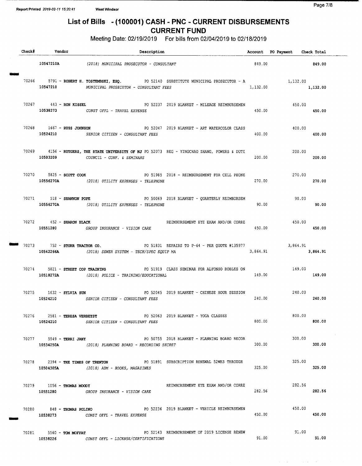Meeting Date: 02/19/2019 For bills from 02/04/2019 to 02/18/2019

|  | Check# Vendor                            | Description                                                                                                                             |          | Account PO Payment Check Total |          |
|--|------------------------------------------|-----------------------------------------------------------------------------------------------------------------------------------------|----------|--------------------------------|----------|
|  |                                          | 10547210A $(2018)$ MUNICIPAL PROSECUTOR - CONSULTANT                                                                                    |          | 849.00                         | 849.00   |
|  |                                          | 70266 5791 - ROBERT H. YOSTEMBSKI, ESQ. PO 52140 SUBSTITUTE MUNICIPAL PROSECUTOR - A<br>10547210 MUNICIPAL PROSECUTOR - CONSULTANT FEES | 1,132.00 | 1,132.00<br>1,132.00           |          |
|  |                                          | 70267 443 - RON KISSEL COM CONSTRUCTED BLANKET - MILEAGE REIMBURSEMEN<br>10538273 CONST OFFL - TRAVEL EXPENSE                           | 450.00   | 450.00                         | 450.00   |
|  |                                          | 70268 1667 - RUSS JOHNSON<br>PO 52047 2019 BLANKET - ART WATERCOLOR CLASS<br>10524210 SENIOR CITIZEN - CONSULTANT FEES                  | 400.00   | 400.00<br>400.00               |          |
|  |                                          | 70269 4156 - RUTGERS, THE STATE UNIVERSITY OF NJ PO 52073 REG - YINGCHAO ZHANG, POWERS & DUTI<br>10503209 COUNCIL - CONF. & SEMINARS    | 200.00   | 200.00<br>200.00               |          |
|  |                                          | 70270 5825 - SCOTT COOK 6 2018 - REIMBURSEMENT FOR CELL PHONE<br>10556270A (2018) UTILITY EXPENSES - TELEPHONE                          | 270.00   | 270.00                         | 270.00   |
|  |                                          | 70271 518 - SHANNON POPE<br>PO 50069 2018 BLANKET - QUARTERLY REIMBURSEM<br>10556270A (2018) UTILITY EXPENSES - TELEPHONE               | 90.00    | 90.00                          | 90.00    |
|  | 70272 452 - SHARON BLACK                 | REIMBURSEMENT EYE EXAM AND/OR CORRE<br>10551280 GROUP INSURANCE - VISION CARE                                                           | 450.00   | 450.00<br>450.00               |          |
|  |                                          | 70273 752 - STORR TRACTOR CO. 20 20 51831 REPAIRS TO P-64 - PER QUOTE #135977<br>10542266A (2018) SEWER SYSTEM - TECH/SPEC EQUIP MA     | 3,864.91 | 3,864.91                       | 3,864.91 |
|  |                                          | 70274 5821 - STREET COP TRAINING PO 51919 CLASS SEMINAR FOR ALFONSO ROBLES ON<br>10518272A (2018) POLICE - TRAINING/EDUCATIONAL         | 149.00   | 149.00                         | 149.00   |
|  |                                          | 70275 1632 - SYLVIA SUN CONSERVER PO 52045 2019 BLANKET - CHINESE HOUR SESSION<br>10524210 SENIOR CITIZEN - CONSULTANT FEES             |          | 240.00<br>240.00               | 240.00   |
|  | 70276 2581 - TERESA VERBEYST<br>10524210 | PO 52063 2019 BLANKET - YOGA CLASSES<br>SENIOR CITIZEN - CONSULTANT FEES                                                                | 800.00   | 800.00                         | 800.00   |
|  | 70277 5549 - TERRI JANY                  | PO 50755 2018 BLANKET - PLANNING BOARD RECOR<br>10534250A (2018) PLANNING BOARD - RECORDING SECRET                                      | 300.00   | 300.00                         | 300.00   |
|  | 10504305A                                | 70278 2394 - THE TIMES OF TRENTON PO 51891 SUBSCRIPTION RENEWAL 52WKS THROUGH<br>(2018) ADM - BOOKS, MAGAZINES                          | 325.00   | 325.00                         | 325.00   |
|  | 70279 1056 - THOMAS MOODY                | REIMBURSEMENT EYE EXAM AND/OR CORRE<br>10551280 GROUP INSURANCE - VISION CARE                                                           | 282.56   | 282.56                         | 282.56   |
|  | 70280 848 - THOMAS POLINO                | PO 52236 2019 BLANKET - VEHICLE REIMBURSEMEN<br>10538273 CONST OFFL - TRAVEL EXPENSE                                                    | 450.00   | 450.00                         | 450.00   |
|  |                                          | 70281 5560 - TOM MOFFAT <b>1200 1200 1200 FOR STATE POSSESS</b> REIMBURSEMENT OF 2019 LICENSE RENEW                                     | 91.00    | 91.00                          | 91.00    |

 $\Delta \sim 10^{12}$  and  $\Delta \sim 10^{12}$  and  $\Delta \sim 10^{12}$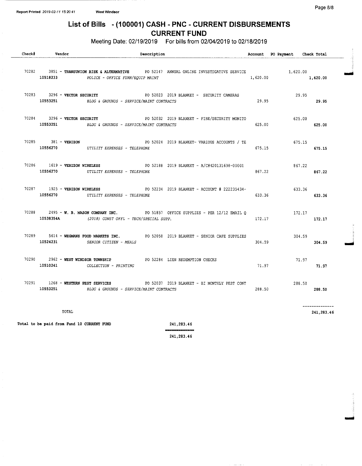Meeting Date: 02/19/2019 For bills from 02/04/2019 to 02/18/2019

| Check# | Vendor                                      |                                                                                                      | Description |                                                                                          |          | Account PO Payment Check Total |               |
|--------|---------------------------------------------|------------------------------------------------------------------------------------------------------|-------------|------------------------------------------------------------------------------------------|----------|--------------------------------|---------------|
|        |                                             | 10518233 POLICE - OFFICE FURN/EOUIP MAINT                                                            |             | 70282 3851 - TRANSUNION RISK & ALTERNATIVE PO 52147 ANNUAL ONLINE INVESTIGATIVE SERVICE  | 1,620.00 | 1,620.00<br>1,620.00           |               |
|        |                                             | 10553251 BLDG & GROUNDS - SERVICE/MAINT CONTRACTS                                                    |             | 70283 3296 - VECTOR SECURITY THE RESERVE PO 52023 2019 BLANKET - SECURITY CAMERAS        |          | 29.95<br>29.95 29.95           |               |
|        |                                             | 10553251 BLDG & GROUNDS - SERVICE/MAINT CONTRACTS                                                    |             | 70284 3296 - VECTOR SECURITY THE RESOLUTION OF SALES 2019 BLANKET - FIRE/SECURITY MONITO | 625.00   | 625.00                         | 625.00        |
|        |                                             | 10556270 UTILITY EXPENSES - TELEPHONE                                                                |             | 70285 381 - VERIZON 6 62024 2019 BLANKET- VARIOUS ACCOUNTS / TE                          | 675.15   | 675.15                         | 675.15        |
|        | $70286$ 1619 - VERIZON WIRELESS<br>10556270 | UTILITY EXPENSES - TELEPHONE                                                                         |             | PO 52188 2019 BLANKET - A/C#420131698-00001                                              | 867.22   | 867.22                         | 867.22        |
|        |                                             | 10556270 UTILITY EXPENSES - TELEPHONE                                                                |             | 70287 1925 - VERIZON WIRELESS 6 2019 BLANKET - ACCOUNT # 222235434-                      | 633.36   | 633.36                         | 633.36        |
|        |                                             | 10538354A (2018) CONST OFFL - TECH/SPECIAL SUPP.                                                     |             | 70288 2495 - W. B. MASON COMPANY INC. PO 51857 OFFICE SUPPLIES - PER 12/12 EMAIL Q       | 172.17   | 172.17                         | 172.17        |
|        |                                             | 10524231 SENIOR CITIZEN - MEALS                                                                      |             | 70289 5614 - WEGMANS FOOD MARKETS INC. 20052058 2019 BLANKET - SENIOR CAFE SUPPLIES      | 304.59   | 304.59                         | 304.59        |
|        |                                             | 70290 2962 - WEST WINDSOR TOWNSHIP 60 52284 LIEN REDEMPTION CHECKS<br>10510241 COLLECTION - PRINTING |             |                                                                                          | 71.97    | 71.97                          | 71.97         |
|        |                                             | 10553251 BLDG & GROUNDS - SERVICE/MAINT CONTRACTS                                                    |             | 70291 1268 - WESTERN PEST SERVICES PO 52037 2019 BLANKET - BI MONTHLY PEST CONT          | 288.50   | 288.50                         | 288.50        |
|        |                                             |                                                                                                      |             |                                                                                          |          |                                | ------------- |

 $_{\rm 241, 283. 46}$ 

Total to be paid from Fund <sup>10</sup> CURRENT FUND 241, 283. <sup>46</sup>

241, 283. 46

 $\frac{1}{2}$  . The set of  $\frac{1}{2}$ 

Page 8/8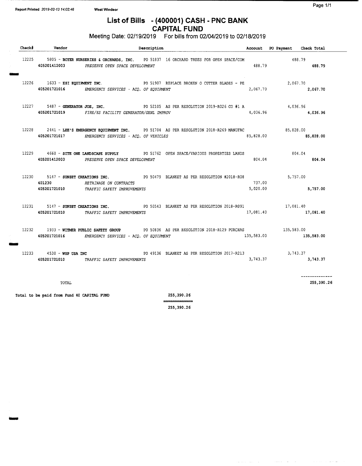## List of Bills - (400001) CASH - PNC BANK CAPITAL FUND

Meeting Date: 02/19/2019 For bills from 02/04/2019 to 02/18/2019

| Check# | Vendor                                     |                                                                    | Description                                                                                    |                    | Account PO Payment Check Total |                             |
|--------|--------------------------------------------|--------------------------------------------------------------------|------------------------------------------------------------------------------------------------|--------------------|--------------------------------|-----------------------------|
|        |                                            | 405201412003 PRESERVE OPEN SPACE DEVELOPMENT                       | 12225 5805 - BOYER NURSERIES & ORCHARDS, INC. PO 51837 16 ORCHARD TREES FOR OPEN SPACE/COM     | 488.79             | 488.79                         | 488.79                      |
|        |                                            | 405201721016 EMERGENCY SERVICES - ACQ. OF EQUIPMENT                | 12226 1633 - ESI EQUIPMENT INC. PO 51907 REPLACE BROKEN O CUTTER BLADES - PE                   | 2,067.70           |                                | 2,067.70<br>2,067.70        |
|        |                                            | 405201721019 FIRE/ES FACILITY GENERATOR/GENL IMPROV                | 12227 5487 - GENERATOR JOE, INC. 2010 52105 AS PER RESOLUTION 2019-R026 CO #1 A 36.96          | 4,036.96           |                                | 4,036.96                    |
|        |                                            | 405201721017 EMERGENCY SERVICES - ACQ. OF VEHICLES                 | 12228 2441 - LEE'S EMERGENCY EQUIPMENT INC. PO 51704 AS PER RESOLUTION 2018-R269 MANUFAC       | 85,828.00          | 85,828.00                      | 85,828.00                   |
|        |                                            | 405201412003 PRESERVE OPEN SPACE DEVELOPMENT                       | 12229 4660 - SITE ONE LANDSCAPE SUPPLY FO 51762 OPEN SPACE/VARIOUS PROPERTIES LANDS            | 804.04             | 804.04                         | 804.04                      |
|        | 401230                                     | RETAINAGE ON CONTRACTS<br>405201721010 TRAFFIC SAFETY IMPROVEMENTS | 12230 5147 - SUNSET CREATIONS INC. PO 50479 BLANKET AS PER RESOLUTION #2018-R08                | 737.00<br>5,020.00 |                                | 5,757.00<br>5,757.00        |
|        |                                            | 405201721010 TRAFFIC SAFETY IMPROVEMENTS                           | 12231 5147 - SUNSET CREATIONS INC. 2016 PO 50543 BLANKET AS PER RESOLUTION 2018-R091 17,081.40 |                    | 17,081.40 17,081.40            |                             |
|        |                                            | 405201721016 EMERGENCY SERVICES - ACQ. OF EQUIPMENT                | 12232 1933 - WITMER PUBLIC SAFETY GROUP PO 50836 AS PER RESOLUTION 2018-R129 PURCHAS           | 135,583.00         | 135,583.00                     | 135,583.00                  |
|        | $12233$ $4530 - WSP$ USA INC               | 405201721010 TRAFFIC SAFETY IMPROVEMENTS                           | PO 49136 BLANKET AS PER RESOLUTION 2017-R213                                                   | 3,743.37           |                                | 3,743.37<br>3,743.37        |
|        | TOTAL                                      |                                                                    |                                                                                                |                    |                                | -------------<br>255,390.26 |
|        | Total to be paid from Fund 40 CAPITAL FUND |                                                                    | 255,390.26                                                                                     |                    |                                |                             |

255, 390. 26

 $\mathcal{L}(\mathbf{z})$  , and  $\mathcal{L}(\mathbf{z})$  , and  $\mathcal{L}(\mathbf{z})$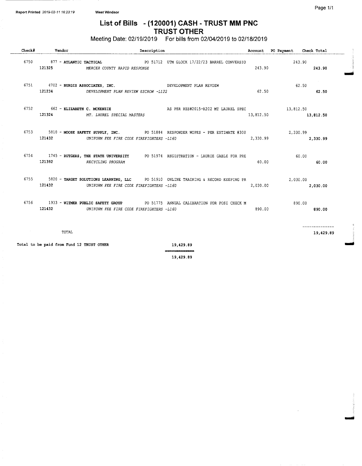## List of Bills - ( 120001) CASH - TRUST MM PNC TRUST OTHER

Meeting Date: 02/19/2019 For bills from 02/04/2019 to 02/18/2019

| Check#         | Vendor                                    | Description                                                                                                |                                                                                             |           | Account PO Payment Check Total |                                  |
|----------------|-------------------------------------------|------------------------------------------------------------------------------------------------------------|---------------------------------------------------------------------------------------------|-----------|--------------------------------|----------------------------------|
| 6750 750       |                                           | 121325 MERCER COUNTY RAPID RESPONSE                                                                        | 877 - ATLANTIC TACTICAL PO 51712 UTM GLOCK 17/22/23 BARREL CONVERSIO                        | 243.90    |                                | 243.90<br>243.90                 |
|                |                                           | 6751 4702 - BURGIS ASSOCIATES, INC. DEVELOPMENT PLAN REVIEW<br>121234 DEVELOPMENT PLAN REVIEW ESCROW -L122 |                                                                                             | 62.50     |                                | $\sim 10^{-1}$<br>62.50<br>62.50 |
|                |                                           | 121324 MT. LAUREL SPECIAL MASTERS                                                                          | 6752 662 - ELIZABETH C. MCKENZIE 662 - 13,812.50                                            | 13,812,50 |                                | 13,812.50                        |
|                | 121432                                    | UNIFORM FEE FIRE CODE FIREFIGHTERS -L160                                                                   | 6753 5810 - MOOSE SAFETY SUPPLY, INC. PO 51884 RESPONDER WIPES - PER ESTIMATE #300 2,330.99 | 2,330.99  |                                | 2,330.99                         |
|                | 121392 RECYCLING PROGRAM                  |                                                                                                            | 6754 1745 - RUTGERS, THE STATE UNIVERSITY PO 51974 REGISTRATION - LAURIE GABLE FOR PRE      | 60.00     |                                | 60.00<br>60.00                   |
|                |                                           | 121432 UNIFORM FEE FIRE CODE FIREFIGHTERS -L160                                                            | 6755 5820 - TARGET SOLUTIONS LEARNING, LLC PO 51910 ONLINE TRAINING & RECORD KEEPING PR     | 2,030.00  |                                | 2,030.00<br>2,030.00             |
|                | 121432                                    | UNIFORM FEE FIRE CODE FIREFIGHTERS -L160                                                                   | 6756 1933 - WITMER PUBLIC SAFETY GROUP PO 51775 ANNUAL CALIBRATION FOR POSI CHECK M         | 890.00    |                                | 890.00<br>890.00                 |
| $\sim 10^{-1}$ | TOTAL                                     |                                                                                                            |                                                                                             |           |                                | 19,429.89                        |
|                | Total to be paid from Fund 12 TRUST OTHER | 19,429.89                                                                                                  | and concentrated the continues and concentrate the continues of the con-                    |           |                                |                                  |

19, 429. 89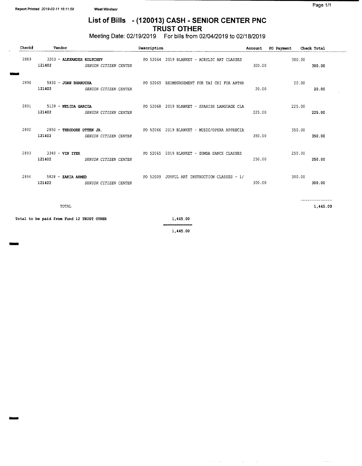## List of Bills - (120013) CASH - SENIOR CENTER PNC TRUST OTHER

Meeting Date: 02/19/2019 For bills from 02/04/2019 to 02/18/2019

| Check# | Vendor                                    |                              | Description                                                                 | Account PO Payment | Check Total                                                                          |
|--------|-------------------------------------------|------------------------------|-----------------------------------------------------------------------------|--------------------|--------------------------------------------------------------------------------------|
| 2889   | 3203 - ALEXANDER KOLTCHEV                 | 121402 SENIOR CITIZEN CENTER | PO 52064 2019 BLANKET - ACRYLIC ART CLASSES                                 | 300.00             | 300.00<br>300.00                                                                     |
| 2890   | 5830 - JOAN BHARUCHA<br>121402            | SENIOR CITIZEN CENTER        | PO 52069 REIMBURSEMENT FOR TAI CHI FOR ARTHR                                | 20.00              | 20.00<br>20.00                                                                       |
| 2891   | 121402                                    | SENIOR CITIZEN CENTER        | 5139 - NELIDA GARCIA 68 68 69 62068 2019 BLANKET - SPANISH LANGUAGE CLA     | 225.00             | 225.00<br>225.00                                                                     |
| 2892   |                                           | 121402 SENIOR CITIZEN CENTER | 2850 - THEODORE OTTEN JR. 2850 PO 52066 2019 BLANKET - MUSIC/OPERA APPRECIA | 350.00             | 350.00<br>350.00                                                                     |
|        | 2893 3340 - VIN IYER<br>121402            | SENIOR CITIZEN CENTER        | PO 52065 2019 BLANKET - ZUMBA DANCE CLASSES<br>$\sim 10^{-11}$              | 250.00             | 250.00<br>250.00                                                                     |
| 2894   | 5828 - ZAKIA AHMED                        | 121402 SENIOR CITIZEN CENTER | PO 52009 JOYFUL ART INSTRUCTION CLASSES - 1/                                | 300.00             | 300.00<br>300.00                                                                     |
|        | TOTAL                                     |                              |                                                                             |                    | the same state that there are now that they have been seen that the same<br>1,445.00 |
|        | Total to be paid from Fund 12 TRUST OTHER |                              | 1,445.00<br>____________                                                    |                    |                                                                                      |
|        |                                           |                              | 1,445.00                                                                    |                    |                                                                                      |

 $\mathcal{A}$  and  $\mathcal{A}$  is a set of  $\mathcal{A}$  . In the contract of  $\mathcal{A}$ 

 $\sim 10^{-1}$ 

 $\label{eq:1} \begin{aligned} \mathcal{L}_{\text{max}}(\mathbf{r},\mathbf{r},\mathbf{r}) & = \mathcal{L}_{\text{max}}(\mathbf{r},\mathbf{r}) \end{aligned}$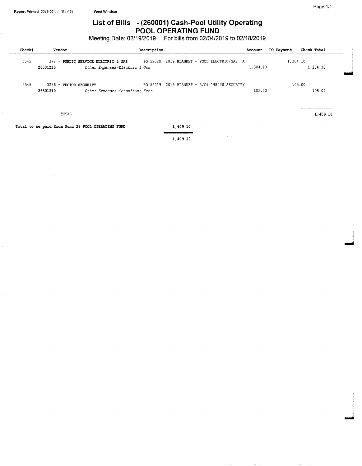## List of Bills - (260001) Cash-Pool Utility Operating POOL OPERATING FUND

Meeting Date: 02/19/2019 For bills from 02/04/2019 to 02/18/2019

| Check# | Vendor                             | Description                                                                   | PO Payment<br>Check Total<br>Account                                       |
|--------|------------------------------------|-------------------------------------------------------------------------------|----------------------------------------------------------------------------|
| 5545   | 26501215                           | 379 - PUBLIC SERVICE ELECTRIC & GAS PO 52020<br>Other Expenses-Electric & Gas | 2019 BLANKET - POOL ELECTRIC/GAS A<br>1,304.10<br>1,304.10<br>1,304.10     |
| 5546   | 3296 - VECTOR SECURITY<br>26501210 | Other Expenses-Consultant Fees                                                | PO 52019 2019 BLANKET - A/C# 198020 SECURITY<br>105.00<br>105.00<br>105.00 |
|        | TOTAL                              |                                                                               | 1,409.10                                                                   |
|        |                                    | Total to be paid from Fund 26 POOL OPERATING FUND                             | 1,409.10                                                                   |
|        |                                    |                                                                               | _________<br>1,409.10                                                      |

Page 1/1

mai

wall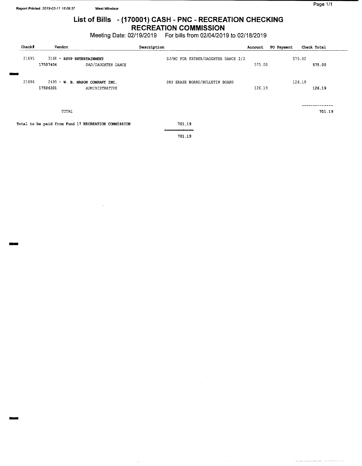t

i

## List of Bills - ( 170001) CASH - PNC - RECREATION CHECKING RECREATION COMMISSION

Meeting Date: 02/19/2019 For bills from 02/04/2019 to 02/18/2019

|                                                     | Check# | Vendor   |                                                   | Description                         | Account | PO Payment | Check Total      |
|-----------------------------------------------------|--------|----------|---------------------------------------------------|-------------------------------------|---------|------------|------------------|
|                                                     | 21695  | 17507404 | 3168 - RSVP ENTERTAINMENT<br>DAD/DAUGHTER DANCE   | DJ/MC FOR FATHER/DAUGHTER DANCE 2/2 | 575.00  |            | 575.00<br>575.00 |
|                                                     | 21696  | 17506301 | 2495 - W. B. MASON COMPANY INC.<br>ADMINISTRATIVE | DRY ERASE BOARD/BULLETIN BOARD      | 126.19  |            | 126.19<br>126.19 |
|                                                     |        | TOTAL    |                                                   |                                     |         |            | 701.19           |
| Total to be paid from Fund 17 RECREATION COMMISSION |        |          |                                                   | 701.19                              |         |            |                  |
|                                                     |        |          |                                                   | 701.19                              |         |            |                  |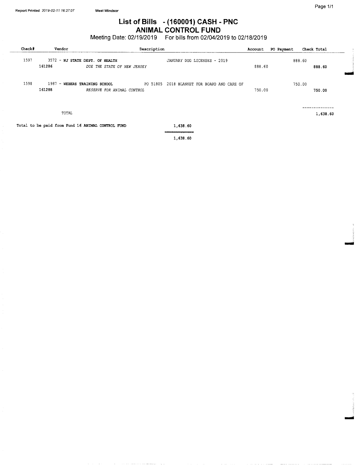## List of Bills - ( 160001) CASH - PNC ANIMAL CONTROL FUND

Meeting Date: 02/19/2019 For bills from 02/04/2019 to 02/18/2019

| Check#                                            | Vendor                                     | Description                                                      |                                    | Account | PO Payment | Check Total |
|---------------------------------------------------|--------------------------------------------|------------------------------------------------------------------|------------------------------------|---------|------------|-------------|
| 1597                                              | 161286                                     | 3572 - NJ STATE DEPT. OF HEALTH<br>DUE THE STATE OF NEW JERSEY   | JANUARY DOG LICENSES - 2019        | 888.60  | 888.60     | 888.60      |
| 1598                                              | 1987<br>$\overline{\phantom{a}}$<br>161288 | PO 51805<br>WEBERS TRAINING SCHOOL<br>RESERVE FOR ANIMAL CONTROL | 2018 BLANKET FOR BOARD AND CARE OF | 750.00  | 750.00     | 750.00      |
|                                                   | TOTAL                                      |                                                                  |                                    |         |            | 1,638.60    |
| Total to be paid from Fund 16 ANIMAL CONTROL FUND |                                            |                                                                  | 1,638.60                           |         |            |             |
|                                                   |                                            |                                                                  | 1,638.60                           |         |            |             |

Page 1/1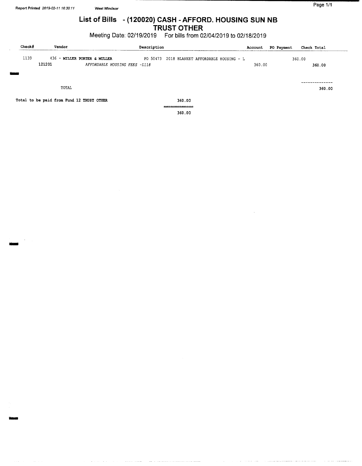## List of Bills - ( 120020) CASH - AFFORD. HOUSING SUN NB TRUST OTHER

Meeting Date: 02/19/2019 For bills from 02/04/2019 to 02/18/2019

|       | <b>Check#</b> | Vendor                                    |                                                               | Description |                                              | Account | PO Payment | Check Total            |
|-------|---------------|-------------------------------------------|---------------------------------------------------------------|-------------|----------------------------------------------|---------|------------|------------------------|
|       | 1139          | 121201                                    | 436 - MILLER PORTER & MULLER<br>AFFORDABLE HOUSING FEES -L118 |             | PO 50473 2018 BLANKET AFFORDABLE HOUSING - L | 360.00  |            | 360.00<br>360.00       |
| مسحمة |               |                                           |                                                               |             |                                              |         |            |                        |
|       |               | TOTAL                                     |                                                               |             |                                              |         |            | ------------<br>360.00 |
|       |               | Total to be paid from Fund 12 TRUST OTHER |                                                               |             | 360.00                                       |         |            |                        |
|       |               |                                           |                                                               |             | __________                                   |         |            |                        |
|       |               |                                           |                                                               |             | 360.00                                       |         |            |                        |

 $\sim$ 

 $\sim$   $\sim$   $\sim$   $\sim$ 

 $\mathbb{R}^2$ 

 $\alpha$  , and a second constraint constraint constraint of

 $\alpha$  , and the components

 $\tau_{\rm eff}$  and  $\tau_{\rm eff}$ 

 $\sim$ 

 $\sim$  1.4 km  $^{-1}$  s and as